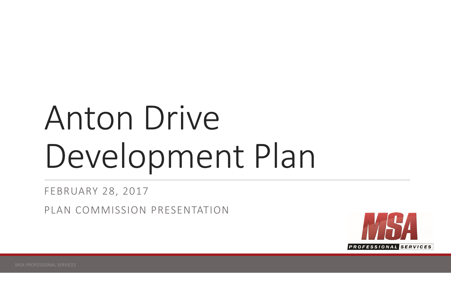# Anton Drive Development Plan

FEBRUARY 28, 2017

PLAN COMMISSION PRESENTATION

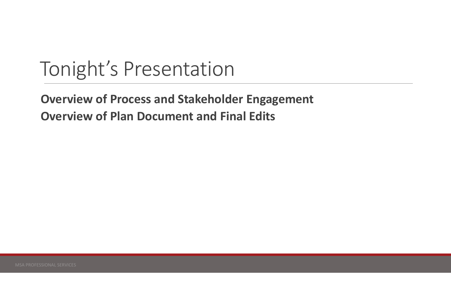### Tonight's Presentation

### **Overview of Process and Stakeholder Engagement Overview of Plan Document and Final Edits**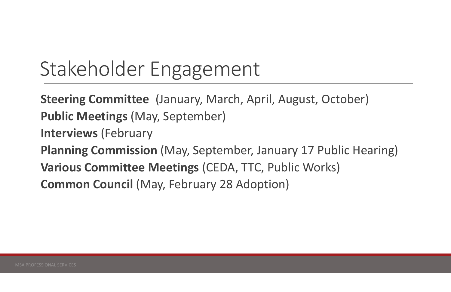# Stakeholder Engagement

**Steering Committee** (January, March, April, August, October) **Public Meetings (May, September) Interviews** (February **Planning Commission** (May, September, January 17 Public Hearing) **Various Committee Meetings (CEDA, TTC, Public Works) Common Council (May, February 28 Adoption)**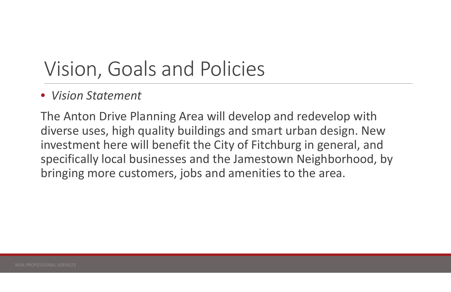### • Vision Statement

The Anton Drive Planning Area will develop and redevelop with diverse uses, high quality buildings and smart urban design. New investment here will benefit the City of Fitchburg in general, and specifically local businesses and the Jamestown Neighborhood, by bringing more customers, jobs and amenities to the area.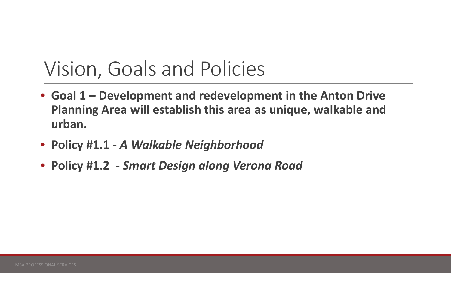- Goal 1 Development and redevelopment in the Anton Drive Planning Area will establish this area as unique, walkable and urban.
- Policy #1.1 A Walkable Neighborhood
- Policy #1.2 Smart Design along Verona Road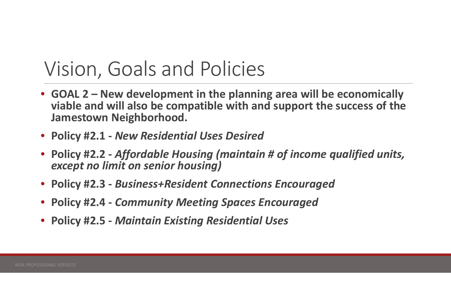- GOAL 2 New development in the planning area will be economically viable and will also be compatible with and support the success of the **Jamestown Neighborhood.**
- Policy #2.1 New Residential Uses Desired
- Policy #2.2 Affordable Housing (maintain # of income qualified units, except no limit on senior housing)
- Policy #2.3 Business+Resident Connections Encouraged
- Policy #2.4 Community Meeting Spaces Encouraged
- **Policy #2.5 Maintain Existing Residential Uses**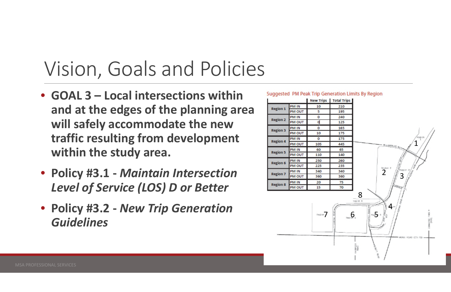- GOAL 3 Local intersections within and at the edges of the planning area will safely accommodate the new traffic resulting from development within the study area.
- Policy #3.1 Maintain Intersection Level of Service (LOS) D or Better
- Policy #3.2 New Trip Generation **Guidelines**

### Suggested PM Peak Trip Generation Limits By Region

|                 |               | <b>New Trips</b> |
|-----------------|---------------|------------------|
| <b>Region 1</b> | PM IN         | 10               |
|                 | PM OUT        | 5                |
| <b>Region 2</b> | PM IN         | o                |
|                 | <b>PM OUT</b> | Ū,               |
| <b>Region 3</b> | PM IN         | o                |
|                 | PM OUT        | 10               |
| <b>Region 4</b> | PM IN         | o                |
|                 | PM OUT        | 105              |
| <b>Region 5</b> | PM IN         | 60               |
|                 | PM OUT        | 110              |
| <b>Region 6</b> | PM IN         | 250              |
|                 | PM OUT        | 225              |
| <b>Region 7</b> | PM IN         | 340              |
|                 | PM OUT        | 360              |
| <b>Region 8</b> | PM IN         | 20               |
|                 | PM OUT        | 15               |

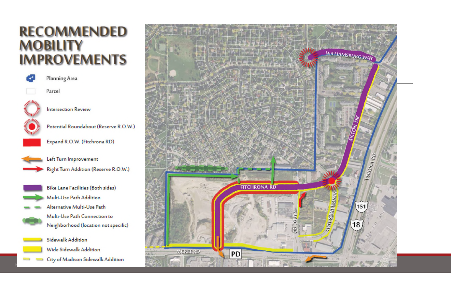### **RECOMMENDED MOBILITY IMPROVEMENTS**



Planning Area

Parcel



**Intersection Review** 





Expand R.O.W. (Fitchrona RD)



Left Turn Improvement Right Turn Addition (Reserve R.O.W.)



 $-1$ 

- **Bike Lane Facilities (Both sides)** Multi-Use Path Addition Alternative Multi-Use Path Multi-Use Path Connection to Neighborhood (location not specific)
- **Sidewalk Addition Wide Sidewalk Addition**
- 
- City of Madison Sidewalk Addition  $\sim$

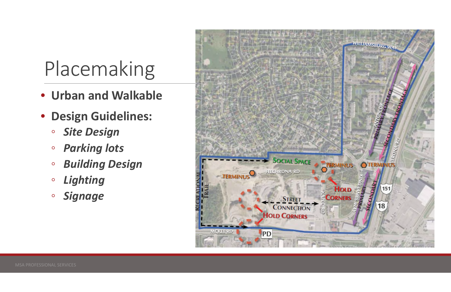# Placemaking

- Urban and Walkable
- · Design Guidelines:
	- **Site Design**  $\circ$
	- **Parking lots**  $\circ$
	- **Building Design**  $\circ$
	- Lighting  $\circ$
	- **Signage**  $\circ$

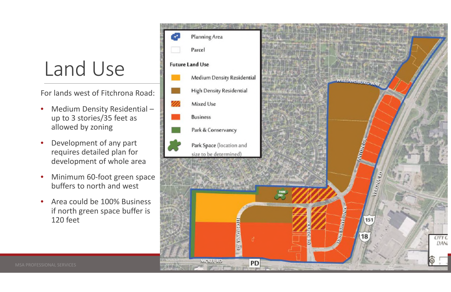## Land Use

For lands west of Fitchrona Road:

- Medium Density Residential- $\bullet$ up to 3 stories/35 feet as allowed by zoning
- Development of any part requires detailed plan for development of whole area
- Minimum 60-foot green space buffers to north and west
- Area could be 100% Business if north green space buffer is 120 feet

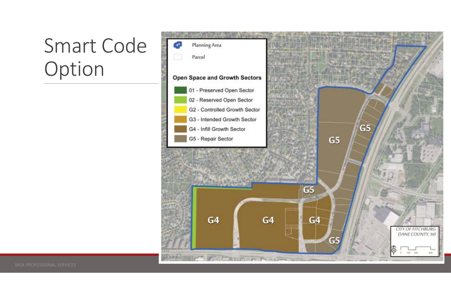### Smart Code Option

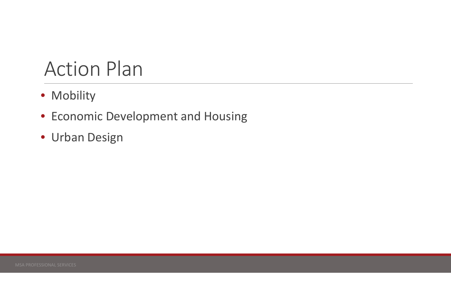### **Action Plan**

- · Mobility
- Economic Development and Housing
- · Urban Design